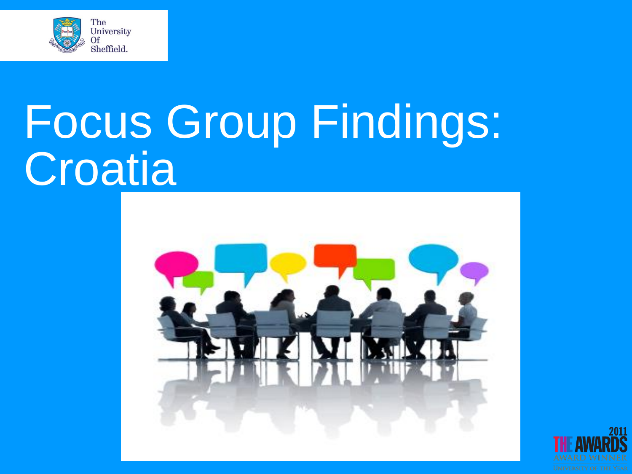

# Focus Group Findings: **Croatia**



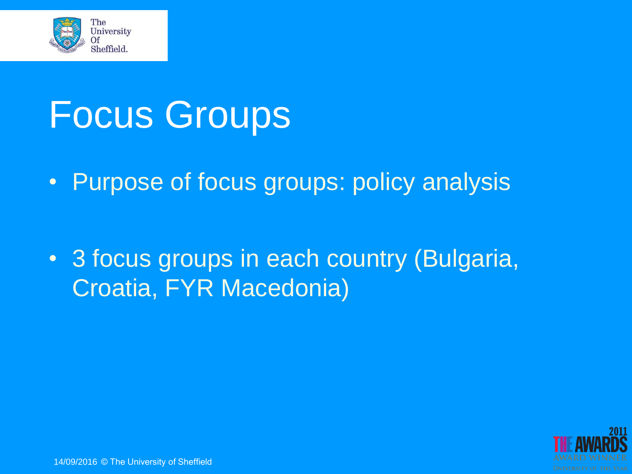

### Focus Groups

• Purpose of focus groups: policy analysis

• 3 focus groups in each country (Bulgaria, Croatia, FYR Macedonia)

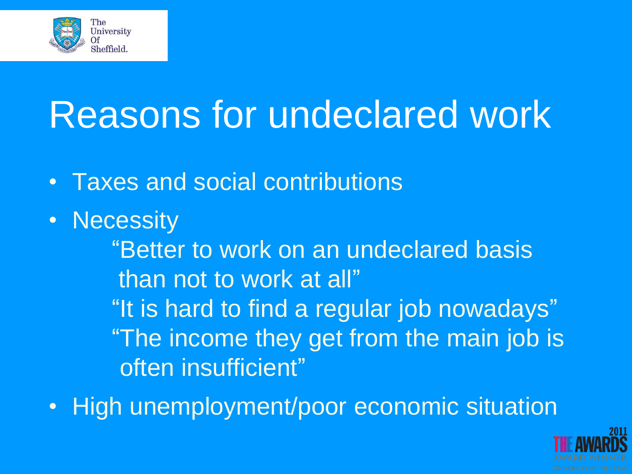

### Reasons for undeclared work

- Taxes and social contributions
- Necessity

"Better to work on an undeclared basis than not to work at all" "It is hard to find a regular job nowadays" "The income they get from the main job is often insufficient"

• High unemployment/poor economic situation

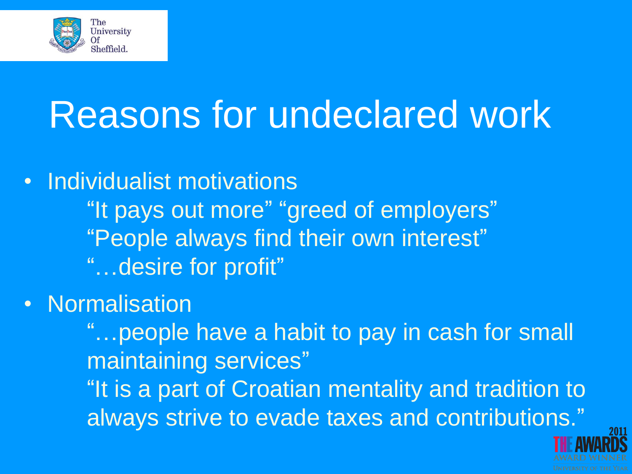

## Reasons for undeclared work

• Individualist motivations "It pays out more" "greed of employers" "People always find their own interest" "…desire for profit"

**Normalisation** 

"…people have a habit to pay in cash for small maintaining services" "It is a part of Croatian mentality and tradition to always strive to evade taxes and contributions."

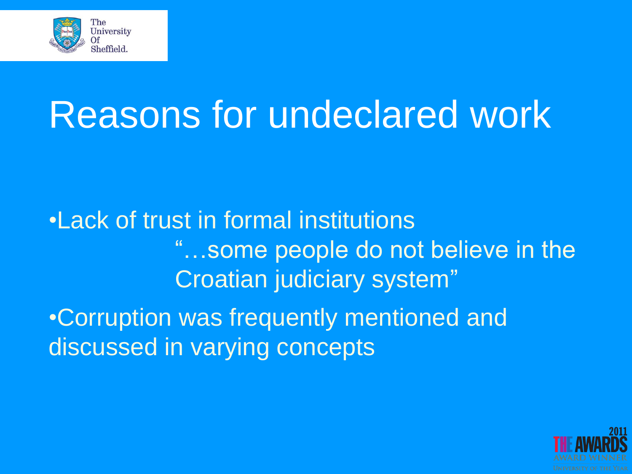

### Reasons for undeclared work

•Lack of trust in formal institutions "…some people do not believe in the Croatian judiciary system" •Corruption was frequently mentioned and discussed in varying concepts

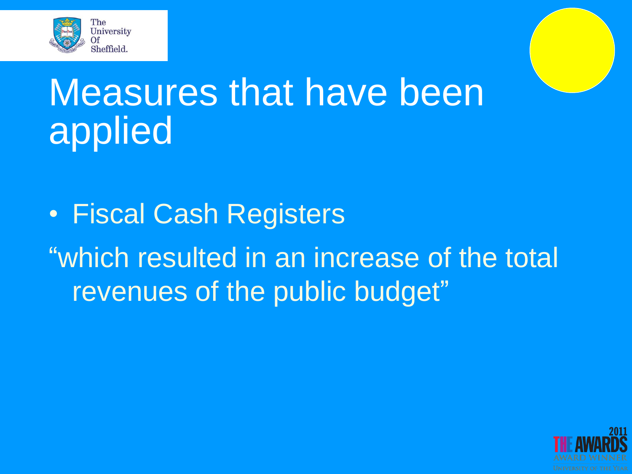

### Measures that have been applied

• Fiscal Cash Registers "which resulted in an increase of the total revenues of the public budget"

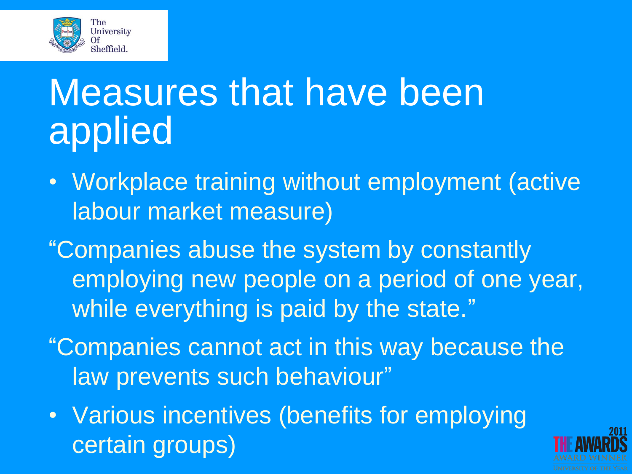

### Measures that have been applied

- Workplace training without employment (active labour market measure)
- "Companies abuse the system by constantly employing new people on a period of one year, while everything is paid by the state."
- "Companies cannot act in this way because the law prevents such behaviour"
- Various incentives (benefits for employing certain groups)

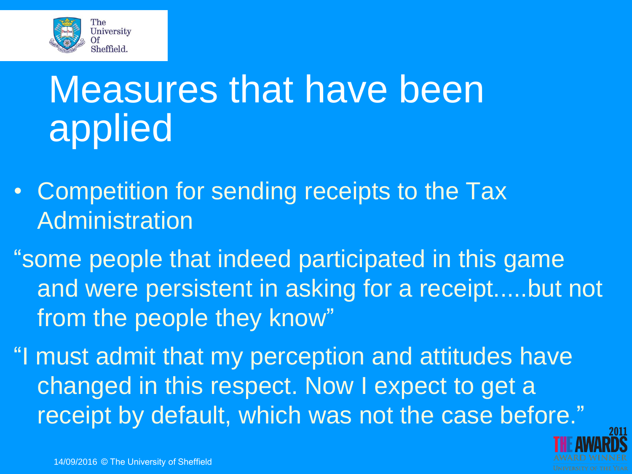

### Measures that have been applied

- Competition for sending receipts to the Tax Administration
- "some people that indeed participated in this game and were persistent in asking for a receipt.....but not from the people they know"
- "I must admit that my perception and attitudes have changed in this respect. Now I expect to get a receipt by default, which was not the case before."

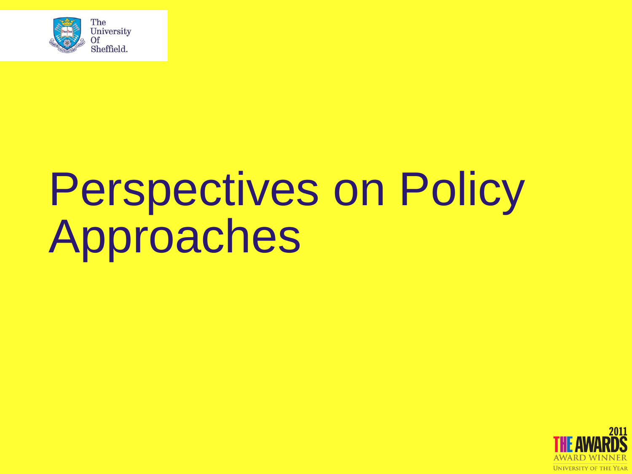

# Perspectives on Policy Approaches

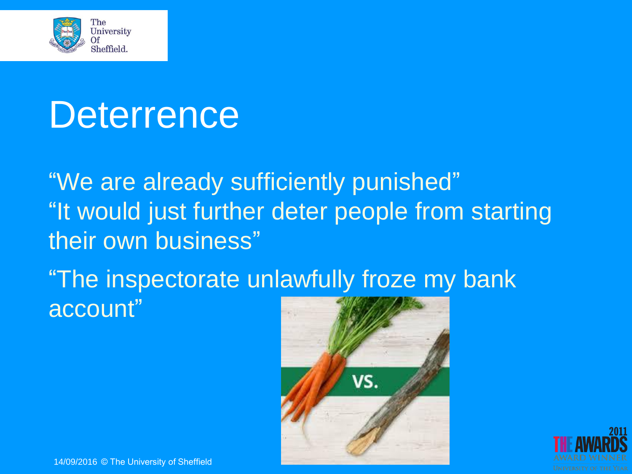

#### **Deterrence**

"We are already sufficiently punished" "It would just further deter people from starting their own business"

"The inspectorate unlawfully froze my bank account"



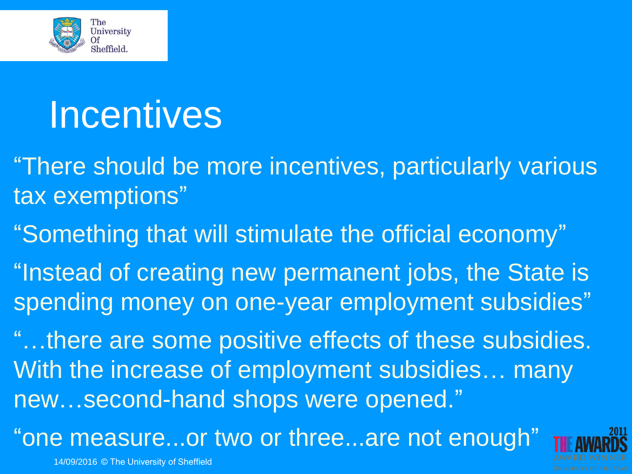

#### **Incentives**

"There should be more incentives, particularly various tax exemptions"

"Something that will stimulate the official economy"

"Instead of creating new permanent jobs, the State is spending money on one-year employment subsidies"

"…there are some positive effects of these subsidies. With the increase of employment subsidies… many new…second-hand shops were opened."

"one measure...or two or three...are not enough"

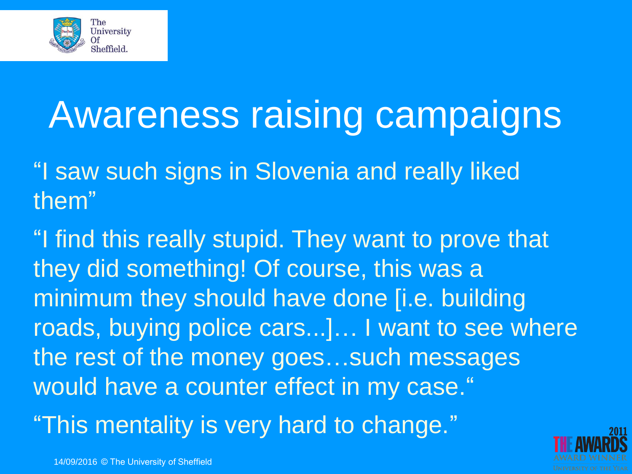

### Awareness raising campaigns

"I saw such signs in Slovenia and really liked them"

"I find this really stupid. They want to prove that they did something! Of course, this was a minimum they should have done [i.e. building roads, buying police cars...]… I want to see where the rest of the money goes…such messages would have a counter effect in my case." "This mentality is very hard to change."

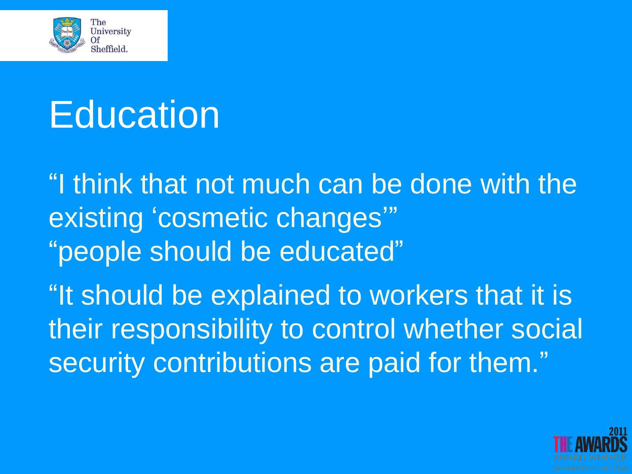

# Education

"I think that not much can be done with the existing 'cosmetic changes'" "people should be educated" "It should be explained to workers that it is their responsibility to control whether social security contributions are paid for them."

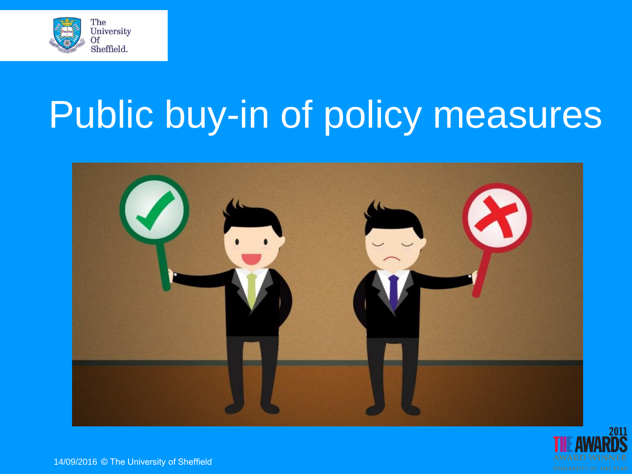

# Public buy-in of policy measures



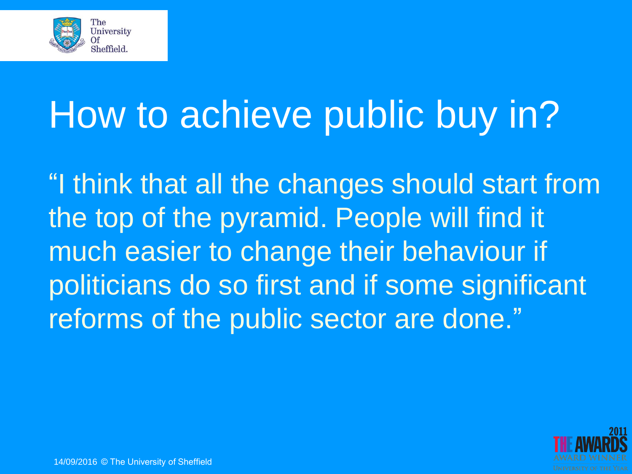

# How to achieve public buy in?

"I think that all the changes should start from the top of the pyramid. People will find it much easier to change their behaviour if politicians do so first and if some significant reforms of the public sector are done."